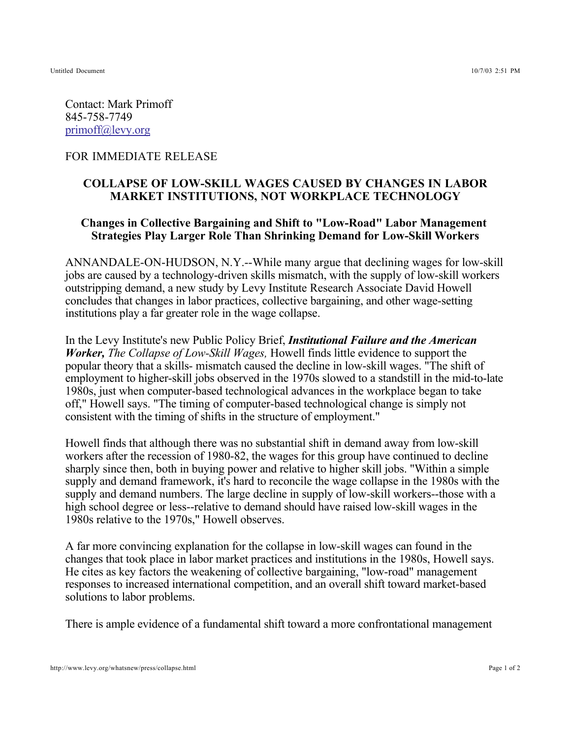Untitled Document 10/7/03 2:51 PM

Contact: Mark Primoff 845-758-7749 primoff@levy.org

## FOR IMMEDIATE RELEASE

## **COLLAPSE OF LOW-SKILL WAGES CAUSED BY CHANGES IN LABOR MARKET INSTITUTIONS, NOT WORKPLACE TECHNOLOGY**

## **Changes in Collective Bargaining and Shift to "Low-Road" Labor Management Strategies Play Larger Role Than Shrinking Demand for Low-Skill Workers**

ANNANDALE-ON-HUDSON, N.Y.--While many argue that declining wages for low-skill jobs are caused by a technology-driven skills mismatch, with the supply of low-skill workers outstripping demand, a new study by Levy Institute Research Associate David Howell concludes that changes in labor practices, collective bargaining, and other wage-setting institutions play a far greater role in the wage collapse.

In the Levy Institute's new Public Policy Brief, *Institutional Failure and the American Worker, The Collapse of Low-Skill Wages, Howell finds little evidence to support the* popular theory that a skills- mismatch caused the decline in low-skill wages. "The shift of employment to higher-skill jobs observed in the 1970s slowed to a standstill in the mid-to-late 1980s, just when computer-based technological advances in the workplace began to take off," Howell says. "The timing of computer-based technological change is simply not consistent with the timing of shifts in the structure of employment."

Howell finds that although there was no substantial shift in demand away from low-skill workers after the recession of 1980-82, the wages for this group have continued to decline sharply since then, both in buying power and relative to higher skill jobs. "Within a simple supply and demand framework, it's hard to reconcile the wage collapse in the 1980s with the supply and demand numbers. The large decline in supply of low-skill workers--those with a high school degree or less--relative to demand should have raised low-skill wages in the 1980s relative to the 1970s," Howell observes.

A far more convincing explanation for the collapse in low-skill wages can found in the changes that took place in labor market practices and institutions in the 1980s, Howell says. He cites as key factors the weakening of collective bargaining, "low-road" management responses to increased international competition, and an overall shift toward market-based solutions to labor problems.

There is ample evidence of a fundamental shift toward a more confrontational management